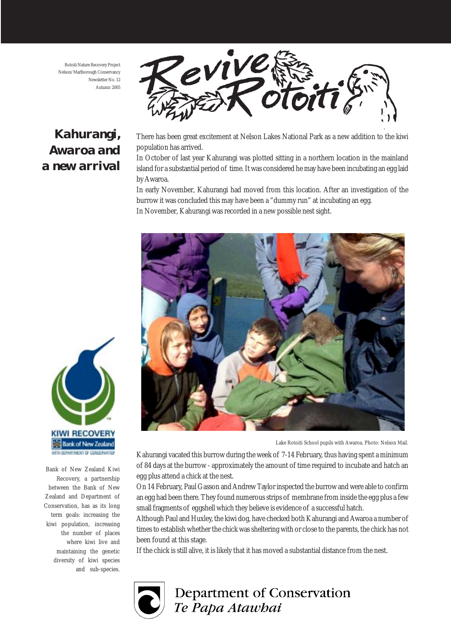Rotoiti Nature Recovery Project Nelson/Marlborough Conservancy Newsletter No. 12 Autumn 2005

### *Kahurangi, Awaroa and a new arrival*



There has been great excitement at Nelson Lakes National Park as a new addition to the kiwi population has arrived.

In October of last year Kahurangi was plotted sitting in a northern location in the mainland island for a substantial period of time. It was considered he may have been incubating an egg laid by Awaroa.

In early November, Kahurangi had moved from this location. After an investigation of the burrow it was concluded this may have been a "dummy run" at incubating an egg. In November, Kahurangi was recorded in a new possible nest sight.



Lake Rotoiti School pupils with Awaroa. Photo: Nelson Mail.

Kahurangi vacated this burrow during the week of 7-14 February, thus having spent a minimum of 84 days at the burrow - approximately the amount of time required to incubate and hatch an egg plus attend a chick at the nest.

On 14 February, Paul Gasson and Andrew Taylor inspected the burrow and were able to confirm an egg had been there. They found numerous strips of membrane from inside the egg plus a few small fragments of eggshell which they believe is evidence of a successful hatch.

Although Paul and Huxley, the kiwi dog, have checked both Kahurangi and Awaroa a number of times to establish whether the chick was sheltering with or close to the parents, the chick has not been found at this stage.

If the chick is still alive, it is likely that it has moved a substantial distance from the nest.



**Department of Conservation** Te Papa Atawhai



Bank of New Zealand Kiwi Recovery, a partnership between the Bank of New Zealand and Department of Conservation, has as its long term goals: increasing the kiwi population, increasing the number of places where kiwi live and maintaining the genetic diversity of kiwi species and sub-species.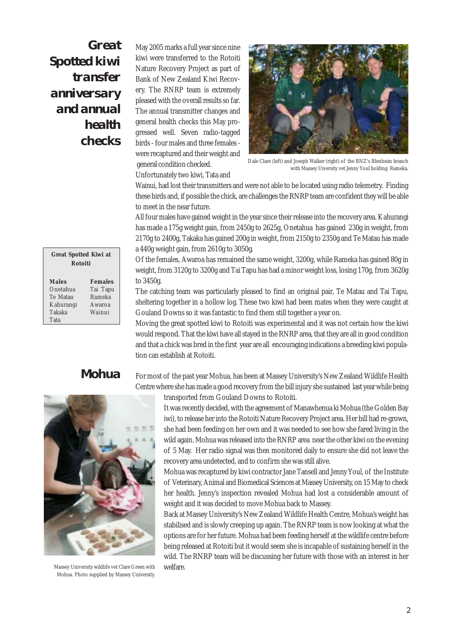*Great Spotted kiwi transfer anniversary and annual health checks*

May 2005 marks a full year since nine kiwi were transferred to the Rotoiti Nature Recovery Project as part of Bank of New Zealand Kiwi Recovery. The RNRP team is extremely pleased with the overall results so far. The annual transmitter changes and general health checks this May progressed well. Seven radio-tagged birds - four males and three females were recaptured and their weight and general condition checked. Unfortunately two kiwi, Tata and



Dale Clare (left) and Joseph Walker (right) of the BNZ's Blenheim branch with Massey Uiversity vet Jenny Youl holding Rameka.

Wainui, had lost their transmitters and were not able to be located using radio telemetry. Finding these birds and, if possible the chick, are challenges the RNRP team are confident they will be able to meet in the near future.

All four males have gained weight in the year since their release into the recovery area. Kahurangi has made a 175g weight gain, from 2450g to 2625g, Onetahua has gained 230g in weight, from 2170g to 2400g, Takaka has gained 200g in weight, from 2150g to 2350g and Te Matau has made a 440g weight gain, from 2610g to 3050g.

Of the females, Awaroa has remained the same weight, 3200g, while Rameka has gained 80g in weight, from 3120g to 3200g and Tai Tapu has had a minor weight loss, losing 170g, from 3620g to 3450g.

The catching team was particularly pleased to find an original pair, Te Matau and Tai Tapu, sheltering together in a hollow log. These two kiwi had been mates when they were caught at Gouland Downs so it was fantastic to find them still together a year on.

Moving the great spotted kiwi to Rotoiti was experimental and it was not certain how the kiwi would respond. That the kiwi have all stayed in the RNRP area, that they are all in good condition and that a chick was bred in the first year are all encouraging indications a breeding kiwi population can establish at Rotoiti.

### *Mohua*

For most of the past year Mohua, has been at Massey University's New Zealand Wildlife Health Centre where she has made a good recovery from the bill injury she sustained last year while being



 Massey University wildlife vet Clare Green with Mohua. Photo supplied by Massey University.

transported from Gouland Downs to Rotoiti.

It was recently decided, with the agreement of Manawhenua ki Mohua (the Golden Bay iwi), to release her into the Rotoiti Nature Recovery Project area. Her bill had re-grown, she had been feeding on her own and it was needed to see how she fared living in the wild again. Mohua was released into the RNRP area near the other kiwi on the evening of 5 May. Her radio signal was then monitored daily to ensure she did not leave the recovery area undetected, and to confirm she was still alive.

Mohua was recaptured by kiwi contractor Jane Tansell and Jenny Youl, of the Institute of Veterinary, Animal and Biomedical Sciences at Massey University, on 15 May to check her health. Jenny's inspection revealed Mohua had lost a considerable amount of weight and it was decided to move Mohua back to Massey.

Back at Massey University's New Zealand Wildlife Health Centre, Mohua's weight has stabilised and is slowly creeping up again. The RNRP team is now looking at what the options are for her future. Mohua had been feeding herself at the wildlife centre before being released at Rotoiti but it would seem she is incapable of sustaining herself in the wild. The RNRP team will be discussing her future with those with an interest in her welfare.

| <b>Great Spotted Kiwi at</b><br><b>Rotoiti</b> |                |
|------------------------------------------------|----------------|
| <b>Males</b>                                   | <b>Females</b> |
| Onetahua                                       | Tai Tapu       |
| Te Matau                                       | Rameka         |
| Kahurangi                                      | Awaroa         |
| Takaka                                         | Wainui         |
| Tata                                           |                |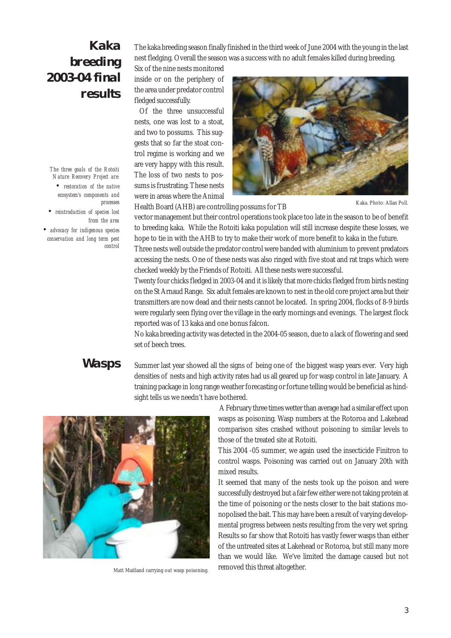## *Kaka breeding 2003-04 final results*

*The three goals of the Rotoiti Nature Recovery Project are: • restoration of the native ecosystem's components and processes*

*• reintroduction of species lost from the area*

*• advocacy for indigenous species conservation and long term pest control* The kaka breeding season finally finished in the third week of June 2004 with the young in the last nest fledging. Overall the season was a success with no adult females killed during breeding.

Six of the nine nests monitored inside or on the periphery of the area under predator control fledged successfully.

 Of the three unsuccessful nests, one was lost to a stoat, and two to possums. This suggests that so far the stoat control regime is working and we are very happy with this result. The loss of two nests to possums is frustrating. These nests were in areas where the Animal

Health Board (AHB) are controlling possums for TB



Kaka. Photo: Allan Poll.

vector management but their control operations took place too late in the season to be of benefit to breeding kaka. While the Rotoiti kaka population will still increase despite these losses, we

hope to tie in with the AHB to try to make their work of more benefit to kaka in the future. Three nests well outside the predator control were banded with aluminium to prevent predators accessing the nests. One of these nests was also ringed with five stoat and rat traps which were checked weekly by the Friends of Rotoiti. All these nests were successful.

Twenty four chicks fledged in 2003-04 and it is likely that more chicks fledged from birds nesting on the St Arnaud Range. Six adult females are known to nest in the old core project area but their transmitters are now dead and their nests cannot be located. In spring 2004, flocks of 8-9 birds were regularly seen flying over the village in the early mornings and evenings. The largest flock reported was of 13 kaka and one bonus falcon.

No kaka breeding activity was detected in the 2004-05 season, due to a lack of flowering and seed set of beech trees.

#### *Wasps*

Summer last year showed all the signs of being one of the biggest wasp years ever. Very high densities of nests and high activity rates had us all geared up for wasp control in late January. A training package in long range weather forecasting or fortune telling would be beneficial as hindsight tells us we needn't have bothered.



Matt Maitland carrying out wasp poisoning.

 A February three times wetter than average had a similar effect upon wasps as poisoning. Wasp numbers at the Rotoroa and Lakehead comparison sites crashed without poisoning to similar levels to those of the treated site at Rotoiti.

This 2004 -05 summer, we again used the insecticide Finitron to control wasps. Poisoning was carried out on January 20th with mixed results.

It seemed that many of the nests took up the poison and were successfully destroyed but a fair few either were not taking protein at the time of poisoning or the nests closer to the bait stations monopolised the bait. This may have been a result of varying developmental progress between nests resulting from the very wet spring. Results so far show that Rotoiti has vastly fewer wasps than either of the untreated sites at Lakehead or Rotoroa, but still many more than we would like. We've limited the damage caused but not removed this threat altogether.